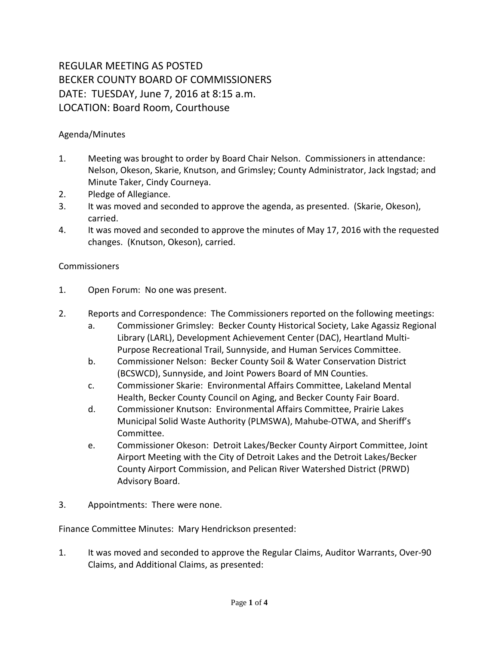## REGULAR MEETING AS POSTED BECKER COUNTY BOARD OF COMMISSIONERS DATE: TUESDAY, June 7, 2016 at 8:15 a.m. LOCATION: Board Room, Courthouse

## Agenda/Minutes

- 1. Meeting was brought to order by Board Chair Nelson. Commissioners in attendance: Nelson, Okeson, Skarie, Knutson, and Grimsley; County Administrator, Jack Ingstad; and Minute Taker, Cindy Courneya.
- 2. Pledge of Allegiance.
- 3. It was moved and seconded to approve the agenda, as presented. (Skarie, Okeson), carried.
- 4. It was moved and seconded to approve the minutes of May 17, 2016 with the requested changes. (Knutson, Okeson), carried.

## Commissioners

- 1. Open Forum: No one was present.
- 2. Reports and Correspondence: The Commissioners reported on the following meetings:
	- a. Commissioner Grimsley: Becker County Historical Society, Lake Agassiz Regional Library (LARL), Development Achievement Center (DAC), Heartland Multi-Purpose Recreational Trail, Sunnyside, and Human Services Committee.
	- b. Commissioner Nelson: Becker County Soil & Water Conservation District (BCSWCD), Sunnyside, and Joint Powers Board of MN Counties.
	- c. Commissioner Skarie: Environmental Affairs Committee, Lakeland Mental Health, Becker County Council on Aging, and Becker County Fair Board.
	- d. Commissioner Knutson: Environmental Affairs Committee, Prairie Lakes Municipal Solid Waste Authority (PLMSWA), Mahube-OTWA, and Sheriff's Committee.
	- e. Commissioner Okeson: Detroit Lakes/Becker County Airport Committee, Joint Airport Meeting with the City of Detroit Lakes and the Detroit Lakes/Becker County Airport Commission, and Pelican River Watershed District (PRWD) Advisory Board.
- 3. Appointments: There were none.

Finance Committee Minutes: Mary Hendrickson presented:

1. It was moved and seconded to approve the Regular Claims, Auditor Warrants, Over-90 Claims, and Additional Claims, as presented: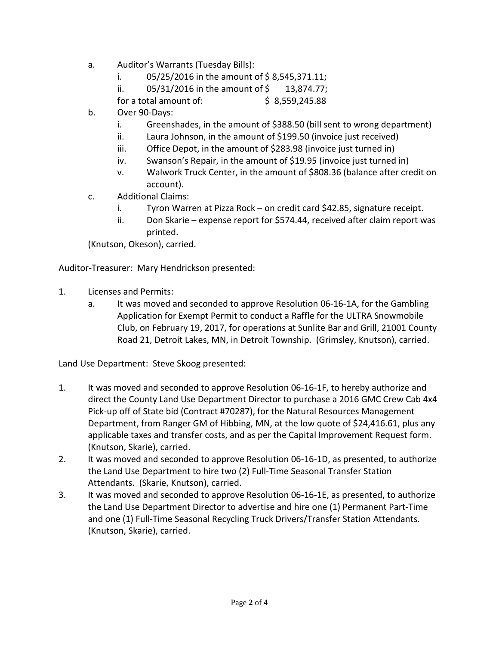- a. Auditor's Warrants (Tuesday Bills):
	- i.  $05/25/2016$  in the amount of \$8,545,371.11;
	- ii.  $05/31/2016$  in the amount of \$ 13,874.77;

for a total amount of: <br>\$ 8,559,245.88

- b. Over 90-Days:
	- i. Greenshades, in the amount of \$388.50 (bill sent to wrong department)
	- ii. Laura Johnson, in the amount of \$199.50 (invoice just received)
	- iii. Office Depot, in the amount of \$283.98 (invoice just turned in)
	- iv. Swanson's Repair, in the amount of \$19.95 (invoice just turned in)
	- v. Walwork Truck Center, in the amount of \$808.36 (balance after credit on account).
- c. Additional Claims:
	- i. Tyron Warren at Pizza Rock on credit card \$42.85, signature receipt.
	- ii. Don Skarie expense report for \$574.44, received after claim report was printed.

(Knutson, Okeson), carried.

Auditor-Treasurer: Mary Hendrickson presented:

- 1. Licenses and Permits:
	- a. It was moved and seconded to approve Resolution 06-16-1A, for the Gambling Application for Exempt Permit to conduct a Raffle for the ULTRA Snowmobile Club, on February 19, 2017, for operations at Sunlite Bar and Grill, 21001 County Road 21, Detroit Lakes, MN, in Detroit Township. (Grimsley, Knutson), carried.

Land Use Department: Steve Skoog presented:

- 1. It was moved and seconded to approve Resolution 06-16-1F, to hereby authorize and direct the County Land Use Department Director to purchase a 2016 GMC Crew Cab 4x4 Pick-up off of State bid (Contract #70287), for the Natural Resources Management Department, from Ranger GM of Hibbing, MN, at the low quote of \$24,416.61, plus any applicable taxes and transfer costs, and as per the Capital Improvement Request form. (Knutson, Skarie), carried.
- 2. It was moved and seconded to approve Resolution 06-16-1D, as presented, to authorize the Land Use Department to hire two (2) Full-Time Seasonal Transfer Station Attendants. (Skarie, Knutson), carried.
- 3. It was moved and seconded to approve Resolution 06-16-1E, as presented, to authorize the Land Use Department Director to advertise and hire one (1) Permanent Part-Time and one (1) Full-Time Seasonal Recycling Truck Drivers/Transfer Station Attendants. (Knutson, Skarie), carried.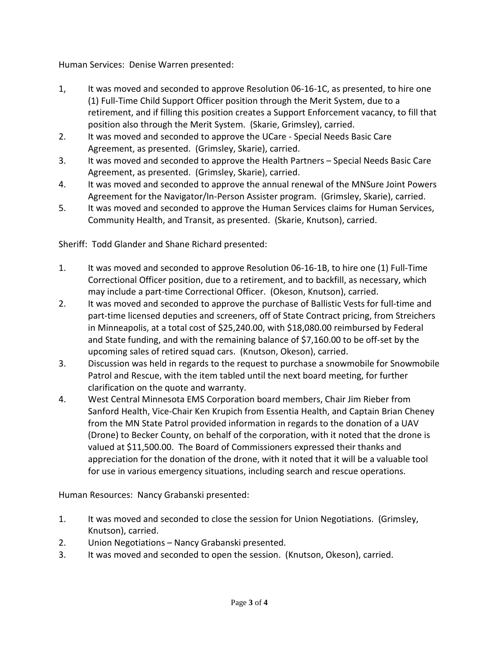Human Services: Denise Warren presented:

- 1, It was moved and seconded to approve Resolution 06-16-1C, as presented, to hire one (1) Full-Time Child Support Officer position through the Merit System, due to a retirement, and if filling this position creates a Support Enforcement vacancy, to fill that position also through the Merit System. (Skarie, Grimsley), carried.
- 2. It was moved and seconded to approve the UCare Special Needs Basic Care Agreement, as presented. (Grimsley, Skarie), carried.
- 3. It was moved and seconded to approve the Health Partners Special Needs Basic Care Agreement, as presented. (Grimsley, Skarie), carried.
- 4. It was moved and seconded to approve the annual renewal of the MNSure Joint Powers Agreement for the Navigator/In-Person Assister program. (Grimsley, Skarie), carried.
- 5. It was moved and seconded to approve the Human Services claims for Human Services, Community Health, and Transit, as presented. (Skarie, Knutson), carried.

Sheriff: Todd Glander and Shane Richard presented:

- 1. It was moved and seconded to approve Resolution 06-16-1B, to hire one (1) Full-Time Correctional Officer position, due to a retirement, and to backfill, as necessary, which may include a part-time Correctional Officer. (Okeson, Knutson), carried.
- 2. It was moved and seconded to approve the purchase of Ballistic Vests for full-time and part-time licensed deputies and screeners, off of State Contract pricing, from Streichers in Minneapolis, at a total cost of \$25,240.00, with \$18,080.00 reimbursed by Federal and State funding, and with the remaining balance of \$7,160.00 to be off-set by the upcoming sales of retired squad cars. (Knutson, Okeson), carried.
- 3. Discussion was held in regards to the request to purchase a snowmobile for Snowmobile Patrol and Rescue, with the item tabled until the next board meeting, for further clarification on the quote and warranty.
- 4. West Central Minnesota EMS Corporation board members, Chair Jim Rieber from Sanford Health, Vice-Chair Ken Krupich from Essentia Health, and Captain Brian Cheney from the MN State Patrol provided information in regards to the donation of a UAV (Drone) to Becker County, on behalf of the corporation, with it noted that the drone is valued at \$11,500.00. The Board of Commissioners expressed their thanks and appreciation for the donation of the drone, with it noted that it will be a valuable tool for use in various emergency situations, including search and rescue operations.

Human Resources: Nancy Grabanski presented:

- 1. It was moved and seconded to close the session for Union Negotiations. (Grimsley, Knutson), carried.
- 2. Union Negotiations Nancy Grabanski presented.
- 3. It was moved and seconded to open the session. (Knutson, Okeson), carried.